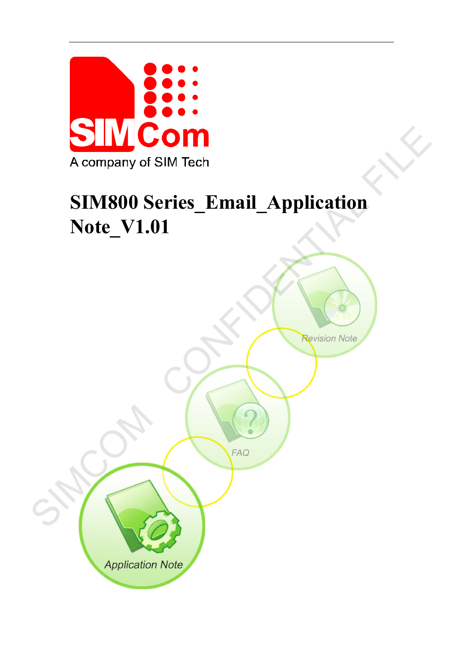

# **SIM800 Series\_Email\_Application Note\_V1.01**

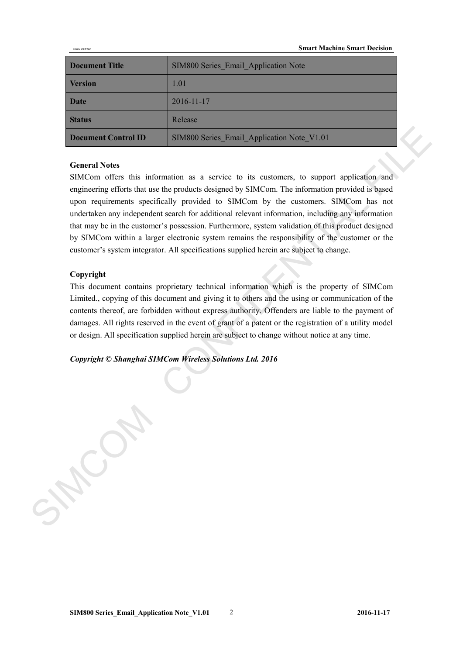| <b>Document Title</b> | SIM800 Series Email Application Note       |
|-----------------------|--------------------------------------------|
| <b>Version</b>        | 1.01                                       |
| <b>Date</b>           | 2016-11-17                                 |
| <b>Status</b>         | Release                                    |
| Document Control ID   | SIM800 Series Email Application Note V1.01 |

### **General Notes**

ompany of SIM Teo

SIMCom offers this information as a service to its customers, to support application and engineering efforts that use the products designed by SIMCom. The information provided is based upon requirements specifically provided to SIMCom by the customers. SIMCom has not undertaken any independent search for additional relevant information, including any information that may be in the customer's possession. Furthermore, system validation of this product designed by SIMCom within a larger electronic system remains the responsibility of the customer or the customer's system integrator. All specifications supplied herein are subject to change. **Decument Control ID**<br>
SIMCOM Scries Final Application None V1 01<br>
General Notes<br>
SIMCom offers that information as a service to its customers, to support application and<br>
engineering efforts that are the protocol designe

## **Copyright**

This document contains proprietary technical information which is the property of SIMCom Limited., copying of this document and giving it to others and the using or communication of the contents thereof, are forbidden without express authority. Offenders are liable to the payment of damages. All rights reserved in the event of grant of a patent or the registration of a utility model or design. All specification supplied herein are subject to change without notice at any time.

*Copyright © Shanghai SIMCom Wireless Solutions Ltd. 2016*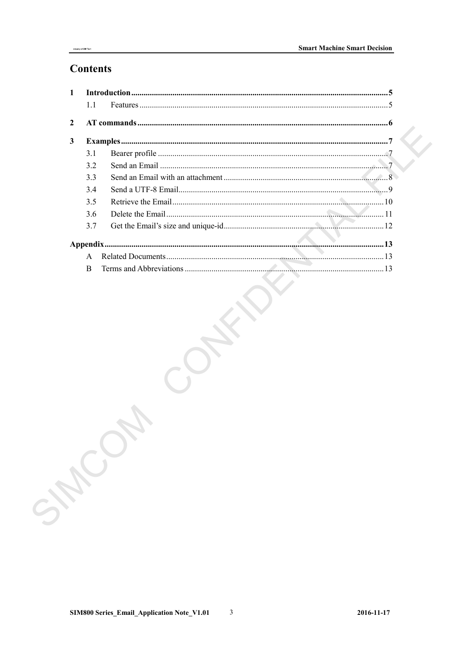## **Contents**

| $\mathbf{1}$ |              |  |
|--------------|--------------|--|
|              | 11           |  |
| $\mathbf{2}$ |              |  |
| 3            |              |  |
|              | 3.1          |  |
|              | 32           |  |
|              | 33           |  |
|              | 34           |  |
|              | 3.5          |  |
|              | 36           |  |
|              | 3.7          |  |
|              |              |  |
|              | $\mathbf{A}$ |  |
|              | B            |  |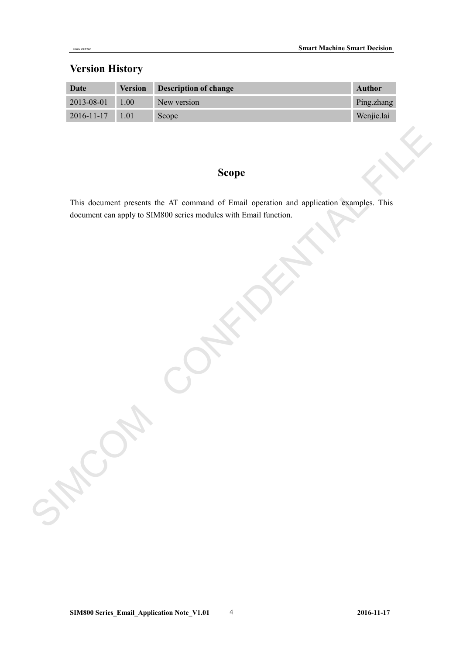# **Version History**

| Date                  |     | <b>Version Description of change</b> | Author     |
|-----------------------|-----|--------------------------------------|------------|
| $2013 - 08 - 01$      | 100 | New version                          | Ping.zhang |
| $2016 - 11 - 17$ 1.01 |     | Scope                                | Wenjie.lai |

# **Scope**

This document presents the AT command of Email operation and application examples. This document can apply to SIM800 series modules with Email function. Scope<br>
This document can apply to SIME00 series modules with Finall function<br>
document can apply to SIME00 series modules with Finall function<br>
and the Finall function<br>
and the Finall function<br>
and the Finall function<br>
and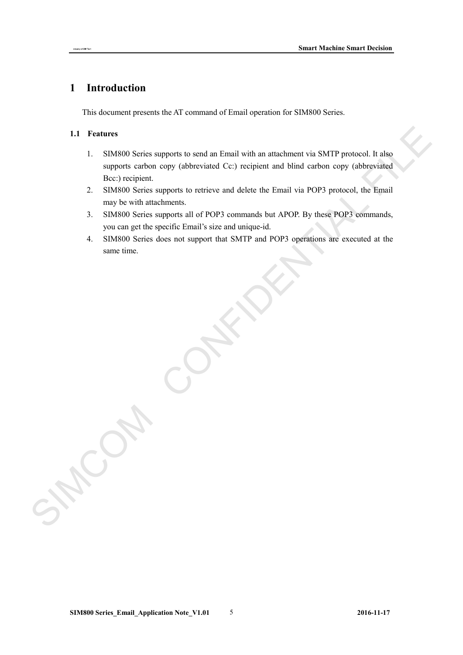## <span id="page-4-0"></span>**1 Introduction**

This document presents the AT command of Email operation for SIM800 Series.

## <span id="page-4-1"></span>**1.1 Features**

- 1. SIM800 Series supports to send an Email with an attachment via SMTP protocol. It also supports carbon copy (abbreviated Cc:) recipient and blind carbon copy (abbreviated Bcc:) recipient. 1. Eventures<br>
1. Stabilison Series supports to send an Email with an auxelinent via SMTP protectol. It also<br>
supports extends control (Ce) receiption and blind carbon copy (abbreviated<br>
1. Stabilison Series supports to cer
	- 2. SIM800 Series supports to retrieve and delete the Email via POP3 protocol, the Email may be with attachments.
	- 3. SIM800 Series supports all of POP3 commands but APOP. By these POP3 commands, you can get the specific Email's size and unique-id.
	- 4. SIM800 Series does not support that SMTP and POP3 operations are executed at the same time.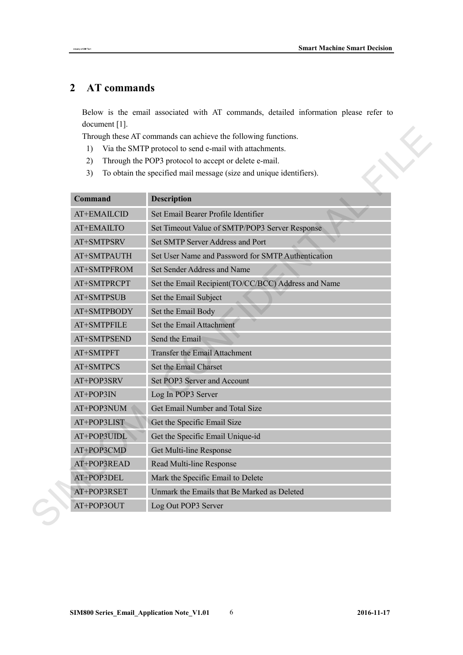# <span id="page-5-0"></span>**2 AT commands**

ompany of SIM Tech

Below is the email associated with AT commands, detailed information please refer to document [1].

- 1) Via the SMTP protocol to send e-mail with attachments.
- 2) Through the POP3 protocol to accept or delete e-mail.
- 3) To obtain the specified mail message (size and unique identifiers).

| Via the SMTP protocol to send e-mail with attachments.<br>1)<br>Through the POP3 protocol to accept or delete e-mail.<br>2) |                                                                     |
|-----------------------------------------------------------------------------------------------------------------------------|---------------------------------------------------------------------|
| 3)                                                                                                                          | To obtain the specified mail message (size and unique identifiers). |
| <b>Command</b>                                                                                                              | <b>Description</b>                                                  |
| AT+EMAILCID                                                                                                                 | Set Email Bearer Profile Identifier                                 |
| AT+EMAILTO                                                                                                                  | Set Timeout Value of SMTP/POP3 Server Response                      |
| AT+SMTPSRV                                                                                                                  | Set SMTP Server Address and Port                                    |
| AT+SMTPAUTH                                                                                                                 | Set User Name and Password for SMTP Authentication                  |
| AT+SMTPFROM                                                                                                                 | Set Sender Address and Name                                         |
| AT+SMTPRCPT                                                                                                                 | Set the Email Recipient(TO/CC/BCC) Address and Name                 |
| AT+SMTPSUB                                                                                                                  | Set the Email Subject                                               |
| AT+SMTPBODY                                                                                                                 | Set the Email Body                                                  |
| AT+SMTPFILE                                                                                                                 | Set the Email Attachment                                            |
| AT+SMTPSEND                                                                                                                 | Send the Email                                                      |
| AT+SMTPFT                                                                                                                   | <b>Transfer the Email Attachment</b>                                |
| <b>AT+SMTPCS</b>                                                                                                            | Set the Email Charset                                               |
| AT+POP3SRV                                                                                                                  | Set POP3 Server and Account                                         |
| AT+POP3IN                                                                                                                   | Log In POP3 Server                                                  |
| AT+POP3NUM                                                                                                                  | Get Email Number and Total Size                                     |
| AT+POP3LIST                                                                                                                 | Get the Specific Email Size                                         |
| AT+POP3UIDL                                                                                                                 | Get the Specific Email Unique-id                                    |
| AT+POP3CMD                                                                                                                  | Get Multi-line Response                                             |
| AT+POP3READ                                                                                                                 | Read Multi-line Response                                            |
| AT+POP3DEL                                                                                                                  | Mark the Specific Email to Delete                                   |
| AT+POP3RSET                                                                                                                 | Unmark the Emails that Be Marked as Deleted                         |
| AT+POP3OUT                                                                                                                  | Log Out POP3 Server                                                 |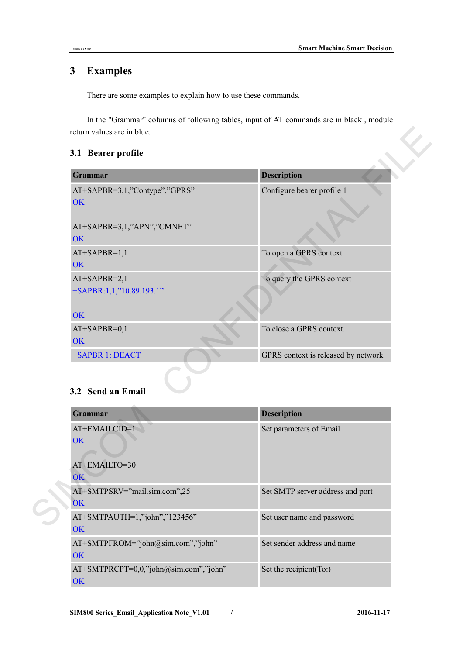# <span id="page-6-0"></span>**3 Examples**

ompany of SIM Tech

There are some examples to explain how to use these commands.

In the "Grammar" columns of following tables, input of AT commands are in black , module return values are in blue.

## <span id="page-6-1"></span>**3.1 Bearer profile**

| <b>Grammar</b>                           | <b>Description</b>                  |
|------------------------------------------|-------------------------------------|
| AT+SAPBR=3,1,"Contype","GPRS"<br>OK      | Configure bearer profile 1          |
| AT+SAPBR=3,1,"APN","CMNET"<br><b>OK</b>  |                                     |
| $AT+SAPBR=1,1$<br><b>OK</b>              | To open a GPRS context.             |
| AT+SAPBR=2,1<br>+SAPBR:1,1,"10.89.193.1" | To query the GPRS context           |
| <b>OK</b>                                |                                     |
| AT+SAPBR=0,1<br><b>OK</b>                | To close a GPRS context.            |
| +SAPBR 1: DEACT                          | GPRS context is released by network |
|                                          |                                     |
| 3.2 Send an Email<br><b>Grammar</b>      | <b>Description</b>                  |
| AT+EMAILCID=1<br>OK                      | Set parameters of Email             |
| AT+EMAILTO=30<br><b>OK</b>               |                                     |
| AT+SMTPSRV="mail.sim.com",25<br>OK       | Set SMTP server address and port    |

# <span id="page-6-2"></span>**3.2 Send an Email**

| <b>Description</b>               |
|----------------------------------|
| Set parameters of Email          |
|                                  |
|                                  |
|                                  |
|                                  |
| Set SMTP server address and port |
|                                  |
| Set user name and password       |
|                                  |
| Set sender address and name      |
|                                  |
| Set the recipient (To:)          |
|                                  |
|                                  |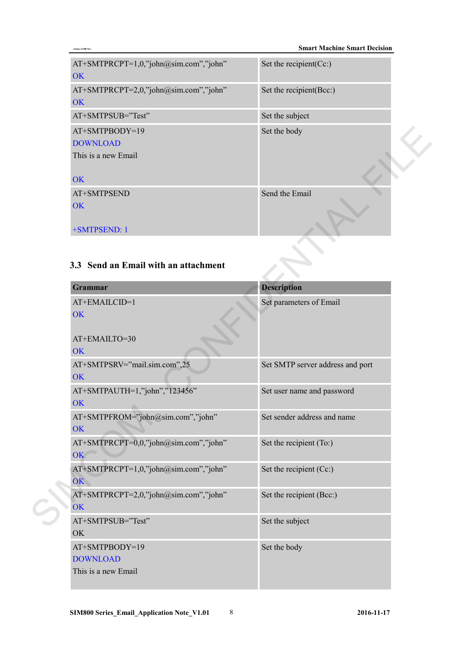#### **Smart Machine Smart Decision**

| $AT+SMTPRCPT=1,0,"john@sim.com","john"$ | Set the recipient $(Cc)$ |
|-----------------------------------------|--------------------------|
| <b>OK</b>                               |                          |
|                                         |                          |
| $AT+SMTPRCPT=2,0,"john@sim.com","john"$ | Set the recipient(Bcc:)  |
| <b>OK</b>                               |                          |
|                                         |                          |
| AT+SMTPSUB="Test"                       | Set the subject          |
| $AT+SMTPBODY=19$                        | Set the body             |
|                                         |                          |
| <b>DOWNLOAD</b>                         |                          |
| This is a new Email                     |                          |
|                                         |                          |
|                                         |                          |
| <b>OK</b>                               |                          |
| AT+SMTPSEND                             | Send the Email           |
| OK.                                     |                          |
|                                         |                          |
|                                         |                          |
| +SMTPSEND: 1                            |                          |
|                                         |                          |

# <span id="page-7-0"></span>**3.3 Send an Email with an attachment**

| AT+SMTPBODY=19                        | Set the body                     |  |
|---------------------------------------|----------------------------------|--|
| <b>DOWNLOAD</b>                       |                                  |  |
| This is a new Email                   |                                  |  |
|                                       |                                  |  |
| <b>OK</b>                             |                                  |  |
| AT+SMTPSEND                           | Send the Email                   |  |
| <b>OK</b>                             |                                  |  |
|                                       |                                  |  |
| +SMTPSEND: 1                          |                                  |  |
|                                       |                                  |  |
| 3.3 Send an Email with an attachment  |                                  |  |
|                                       |                                  |  |
| <b>Grammar</b>                        | <b>Description</b>               |  |
| AT+EMAILCID=1                         | Set parameters of Email          |  |
| OK                                    |                                  |  |
|                                       |                                  |  |
| AT+EMAILTO=30                         |                                  |  |
| <b>OK</b>                             |                                  |  |
| AT+SMTPSRV="mail.sim.com",25          | Set SMTP server address and port |  |
| <b>OK</b>                             |                                  |  |
| AT+SMTPAUTH=1,"john","123456"         | Set user name and password       |  |
| <b>OK</b>                             |                                  |  |
| AT+SMTPFROM="john@sim.com","john"     | Set sender address and name      |  |
| <b>OK</b>                             |                                  |  |
| AT+SMTPRCPT=0,0,"john@sim.com","john" | Set the recipient (To:)          |  |
| OK                                    |                                  |  |
| AT+SMTPRCPT=1,0,"john@sim.com","john" | Set the recipient (Cc:)          |  |
| OK                                    |                                  |  |
| AT+SMTPRCPT=2,0,"john@sim.com","john" | Set the recipient (Bcc:)         |  |
| <b>OK</b>                             |                                  |  |
| AT+SMTPSUB="Test"                     | Set the subject                  |  |
| OK                                    |                                  |  |
| AT+SMTPBODY=19                        | Set the body                     |  |
| <b>DOWNLOAD</b>                       |                                  |  |
| This is a new Email                   |                                  |  |
|                                       |                                  |  |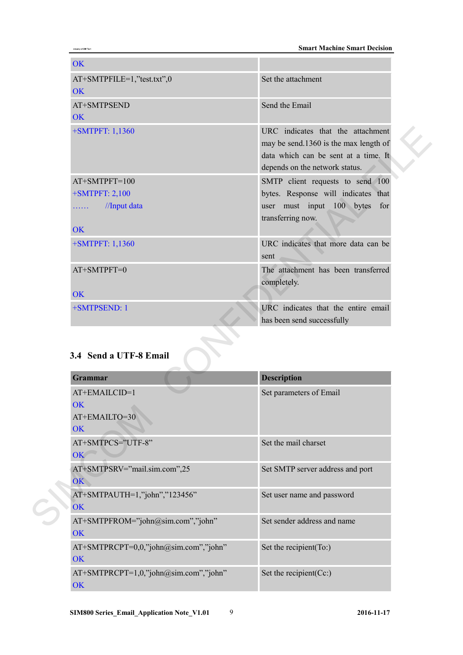| <b>OK</b>                                                |                                                                                                                                                      |
|----------------------------------------------------------|------------------------------------------------------------------------------------------------------------------------------------------------------|
| AT+SMTPFILE=1,"test.txt",0<br><b>OK</b>                  | Set the attachment                                                                                                                                   |
| AT+SMTPSEND<br><b>OK</b>                                 | Send the Email                                                                                                                                       |
| +SMTPFT: 1,1360                                          | URC indicates that the attachment<br>may be send.1360 is the max length of<br>data which can be sent at a time. It<br>depends on the network status. |
| AT+SMTPFT=100                                            | SMTP client requests to send 100                                                                                                                     |
| +SMTPFT: 2,100                                           | bytes. Response will indicates that                                                                                                                  |
| //Input data<br>.                                        | user must input 100 bytes for<br>transferring now.                                                                                                   |
| <b>OK</b>                                                |                                                                                                                                                      |
| +SMTPFT: 1,1360                                          | URC indicates that more data can be<br>sent                                                                                                          |
|                                                          |                                                                                                                                                      |
| AT+SMTPFT=0                                              | completely.                                                                                                                                          |
| <b>OK</b>                                                | The attachment has been transferred                                                                                                                  |
| +SMTPSEND: 1                                             | URC indicates that the entire email<br>has been send successfully                                                                                    |
| 3.4 Send a UTF-8 Email<br><b>Grammar</b>                 | <b>Description</b>                                                                                                                                   |
| AT+EMAILCID=1<br><b>OK</b><br>AT+EMAILTO=30<br><b>OK</b> | Set parameters of Email                                                                                                                              |
| AT+SMTPCS="UTF-8"<br>OK T                                | Set the mail charset                                                                                                                                 |
| AT+SMTPSRV="mail.sim.com",25<br><b>OK</b>                | Set SMTP server address and port                                                                                                                     |
| AT+SMTPAUTH=1,"john","123456"<br><b>OK</b>               | Set user name and password                                                                                                                           |

# <span id="page-8-0"></span>**3.4 Send a UTF-8 Email**

| Grammar                                 | <b>Description</b>               |
|-----------------------------------------|----------------------------------|
| AT+EMAILCID=1                           | Set parameters of Email          |
| OK                                      |                                  |
| AT+EMAILTO=30                           |                                  |
| <b>OK</b>                               |                                  |
| AT+SMTPCS="UTF-8"                       | Set the mail charset             |
| OK                                      |                                  |
| AT+SMTPSRV="mail.sim.com",25            | Set SMTP server address and port |
| OK                                      |                                  |
| AT+SMTPAUTH=1,"john","123456"           | Set user name and password       |
| OK                                      |                                  |
| AT+SMTPFROM="john@sim.com","john"       | Set sender address and name      |
| OK                                      |                                  |
| $AT+SMTPRCPT=0,0,"john@sim.com","john"$ | Set the recipient (To:)          |
| <b>OK</b>                               |                                  |
| AT+SMTPRCPT=1,0,"john@sim.com","john"   | Set the recipient $(Cc)$         |
| <b>OK</b>                               |                                  |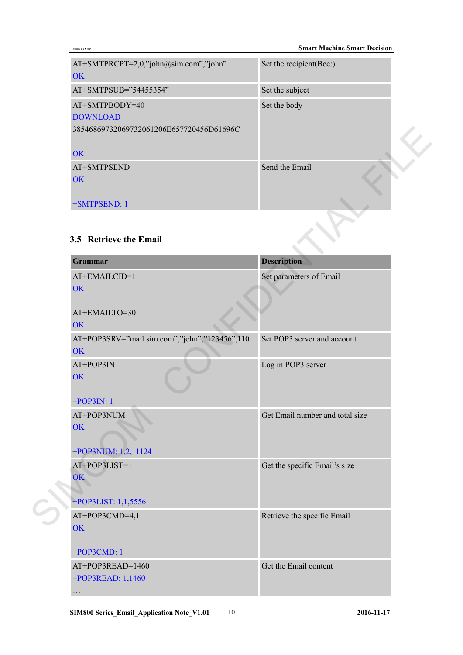| Set the recipient (Bcc:) |
|--------------------------|
| Set the subject          |
| Set the body             |
| Send the Email           |
|                          |
|                          |
|                          |

## <span id="page-9-0"></span>**3.5 Retrieve the Email**

| <b>OK</b><br>AT+SMTPSEND                      | Send the Email                  |
|-----------------------------------------------|---------------------------------|
| <b>OK</b>                                     |                                 |
|                                               |                                 |
| +SMTPSEND: 1                                  |                                 |
|                                               |                                 |
| 3.5 Retrieve the Email                        |                                 |
| Grammar                                       | <b>Description</b>              |
| AT+EMAILCID=1                                 | Set parameters of Email         |
| <b>OK</b>                                     |                                 |
| AT+EMAILTO=30                                 |                                 |
| <b>OK</b>                                     |                                 |
| AT+POP3SRV="mail.sim.com","john","123456",110 | Set POP3 server and account     |
| <b>OK</b>                                     |                                 |
| AT+POP3IN                                     | Log in POP3 server              |
| <b>OK</b>                                     |                                 |
| $+POP3IN:1$                                   |                                 |
| AT+POP3NUM                                    | Get Email number and total size |
| <b>OK</b>                                     |                                 |
| +POP3NUM: 1,2,11124                           |                                 |
| AT+POP3LIST=1                                 | Get the specific Email's size   |
| OK                                            |                                 |
| +POP3LIST: 1,1,5556                           |                                 |
| AT+POP3CMD=4,1                                | Retrieve the specific Email     |
| <b>OK</b>                                     |                                 |
|                                               |                                 |
| +POP3CMD: 1                                   |                                 |
| AT+POP3READ=1460<br>+POP3READ: 1,1460         | Get the Email content           |
|                                               |                                 |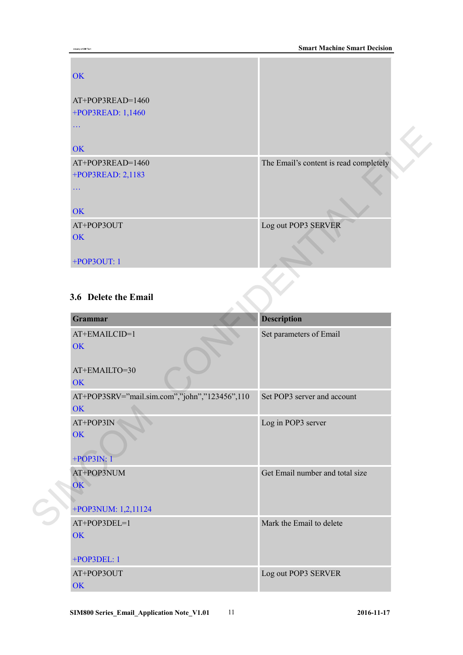| <b>OK</b>                             |                                        |
|---------------------------------------|----------------------------------------|
|                                       |                                        |
| AT+POP3READ=1460<br>+POP3READ: 1,1460 |                                        |
|                                       |                                        |
|                                       |                                        |
| <b>OK</b>                             |                                        |
| AT+POP3READ=1460                      | The Email's content is read completely |
| +POP3READ: 2,1183                     |                                        |
|                                       |                                        |
|                                       |                                        |
| <b>OK</b>                             |                                        |
| AT+POP3OUT                            | Log out POP3 SERVER                    |
| <b>OK</b>                             |                                        |
|                                       |                                        |
| +POP3OUT: 1                           |                                        |

## <span id="page-10-0"></span>**3.6 Delete the Email**

| <b>OK</b>                                     |                                        |
|-----------------------------------------------|----------------------------------------|
| AT+POP3READ=1460                              | The Email's content is read completely |
| +POP3READ: 2,1183                             |                                        |
| $\ddotsc$                                     |                                        |
| <b>OK</b>                                     |                                        |
| AT+POP3OUT                                    | Log out POP3 SERVER                    |
| <b>OK</b>                                     |                                        |
|                                               |                                        |
| +POP3OUT: 1                                   |                                        |
|                                               |                                        |
| 3.6 Delete the Email                          |                                        |
|                                               |                                        |
| Grammar                                       | <b>Description</b>                     |
| AT+EMAILCID=1                                 | Set parameters of Email                |
| <b>OK</b>                                     |                                        |
| AT+EMAILTO=30                                 |                                        |
|                                               |                                        |
| <b>OK</b>                                     |                                        |
| AT+POP3SRV="mail.sim.com","john","123456",110 | Set POP3 server and account            |
| OK                                            |                                        |
| AT+POP3IN                                     | Log in POP3 server                     |
| <b>OK</b>                                     |                                        |
|                                               |                                        |
| $+POP3IN:1$                                   |                                        |
| AT+POP3NUM                                    | Get Email number and total size        |
| $OK \geq$                                     |                                        |
| +POP3NUM: 1,2,11124                           |                                        |
| AT+POP3DEL=1                                  | Mark the Email to delete               |
| OK                                            |                                        |
|                                               |                                        |
| +POP3DEL: 1<br>AT+POP3OUT                     | Log out POP3 SERVER                    |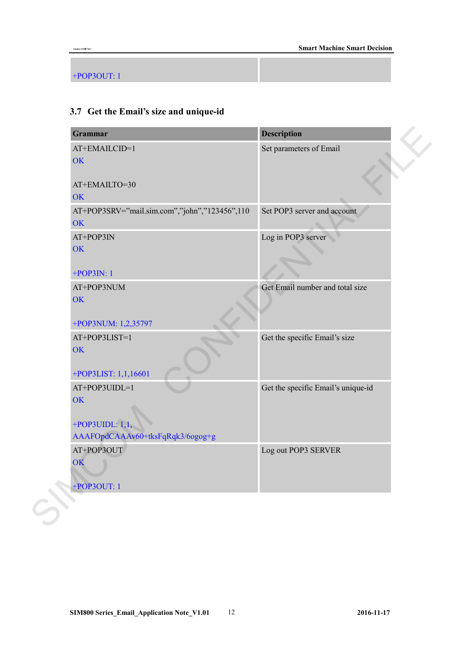+POP3OUT: 1

# <span id="page-11-0"></span>**3.7 Get the Email's size and unique-id**

| <b>Grammar</b>                                | <b>Description</b>                 |
|-----------------------------------------------|------------------------------------|
| AT+EMAILCID=1                                 | Set parameters of Email            |
| OK                                            |                                    |
| AT+EMAILTO=30                                 |                                    |
| OK                                            |                                    |
| AT+POP3SRV="mail.sim.com","john","123456",110 | Set POP3 server and account        |
| OK                                            |                                    |
| AT+POP3IN                                     | Log in POP3 server                 |
| OK                                            |                                    |
|                                               |                                    |
| $+POP3IN:1$                                   |                                    |
| AT+POP3NUM                                    | Get Email number and total size    |
| OK                                            |                                    |
| +POP3NUM: 1,2,35797                           |                                    |
| AT+POP3LIST=1                                 | Get the specific Email's size      |
| OK                                            |                                    |
|                                               |                                    |
| +POP3LIST: 1,1,16601                          |                                    |
| AT+POP3UIDL=1                                 | Get the specific Email's unique-id |
| OK                                            |                                    |
| $+ POP3UIDL: 1,1,$                            |                                    |
| AAAFOpdCAAAv60+tksFqRqk3/6ogog+g              |                                    |
| AT+POP3OUT                                    | Log out POP3 SERVER                |
| OK                                            |                                    |
|                                               |                                    |
| +POP3OUT: 1                                   |                                    |
|                                               |                                    |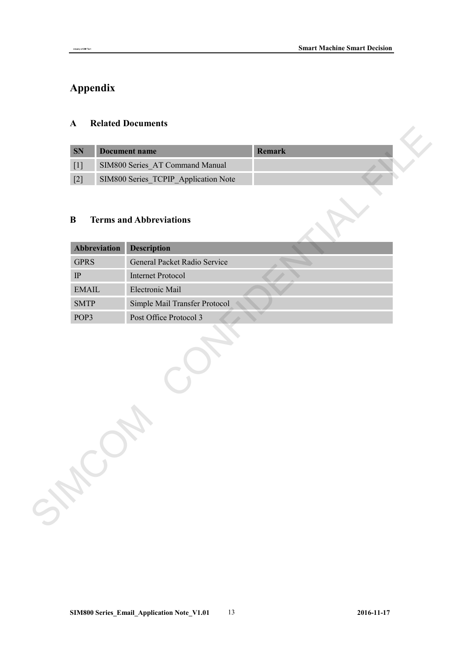# <span id="page-12-0"></span>**Appendix**

pany of SIM Tech

## <span id="page-12-1"></span>**A Related Documents**

| <b>SN</b>         | Document name                        | Remark |  |
|-------------------|--------------------------------------|--------|--|
|                   | SIM800 Series AT Command Manual      |        |  |
| $\lceil 2 \rceil$ | SIM800 Series TCPIP Application Note |        |  |

## <span id="page-12-2"></span>**B Terms and Abbreviations**

| SN           |              | <b>Document name</b>                 | Remark |
|--------------|--------------|--------------------------------------|--------|
| $[1]$        |              | SIM800 Series AT Command Manual      |        |
| $[2]$        |              | SIM800 Series TCPIP Application Note |        |
| $\bf{B}$     |              | <b>Terms and Abbreviations</b>       |        |
|              | Abbreviation | <b>Description</b>                   |        |
| <b>GPRS</b>  |              | General Packet Radio Service         |        |
| $\rm IP$     |              | <b>Internet Protocol</b>             |        |
| <b>EMAIL</b> |              | Electronic Mail                      |        |
| <b>SMTP</b>  |              | Simple Mail Transfer Protocol        |        |
| POP3         |              | Post Office Protocol 3               |        |
|              |              |                                      |        |
|              |              |                                      |        |